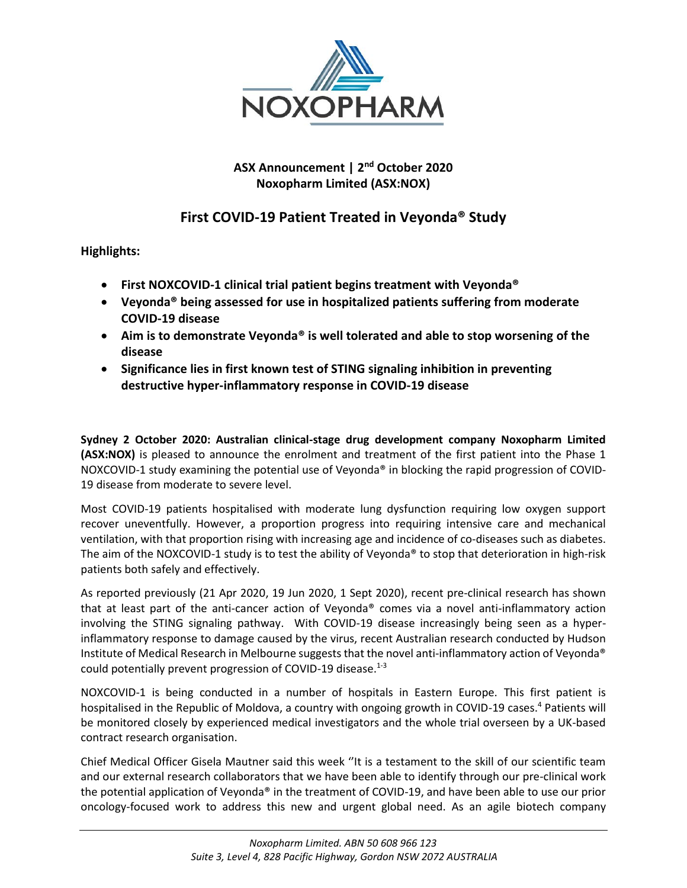

## **ASX Announcement | 2 nd October 2020 Noxopharm Limited (ASX:NOX)**

# **First COVID-19 Patient Treated in Veyonda® Study**

**Highlights:**

- **First NOXCOVID-1 clinical trial patient begins treatment with Veyonda®**
- **Veyonda® being assessed for use in hospitalized patients suffering from moderate COVID-19 disease**
- **Aim is to demonstrate Veyonda® is well tolerated and able to stop worsening of the disease**
- **Significance lies in first known test of STING signaling inhibition in preventing destructive hyper-inflammatory response in COVID-19 disease**

**Sydney 2 October 2020: Australian clinical-stage drug development company Noxopharm Limited (ASX:NOX)** is pleased to announce the enrolment and treatment of the first patient into the Phase 1 NOXCOVID-1 study examining the potential use of Veyonda® in blocking the rapid progression of COVID-19 disease from moderate to severe level.

Most COVID-19 patients hospitalised with moderate lung dysfunction requiring low oxygen support recover uneventfully. However, a proportion progress into requiring intensive care and mechanical ventilation, with that proportion rising with increasing age and incidence of co-diseases such as diabetes. The aim of the NOXCOVID-1 study is to test the ability of Veyonda® to stop that deterioration in high-risk patients both safely and effectively.

As reported previously (21 Apr 2020, 19 Jun 2020, 1 Sept 2020), recent pre-clinical research has shown that at least part of the anti-cancer action of Veyonda® comes via a novel anti-inflammatory action involving the STING signaling pathway. With COVID-19 disease increasingly being seen as a hyperinflammatory response to damage caused by the virus, recent Australian research conducted by Hudson Institute of Medical Research in Melbourne suggests that the novel anti-inflammatory action of Veyonda® could potentially prevent progression of COVID-19 disease.<sup>1-3</sup>

NOXCOVID-1 is being conducted in a number of hospitals in Eastern Europe. This first patient is hospitalised in the Republic of Moldova, a country with ongoing growth in COVID-19 cases.<sup>4</sup> Patients will be monitored closely by experienced medical investigators and the whole trial overseen by a UK-based contract research organisation.

Chief Medical Officer Gisela Mautner said this week ''It is a testament to the skill of our scientific team and our external research collaborators that we have been able to identify through our pre-clinical work the potential application of Veyonda® in the treatment of COVID-19, and have been able to use our prior oncology-focused work to address this new and urgent global need. As an agile biotech company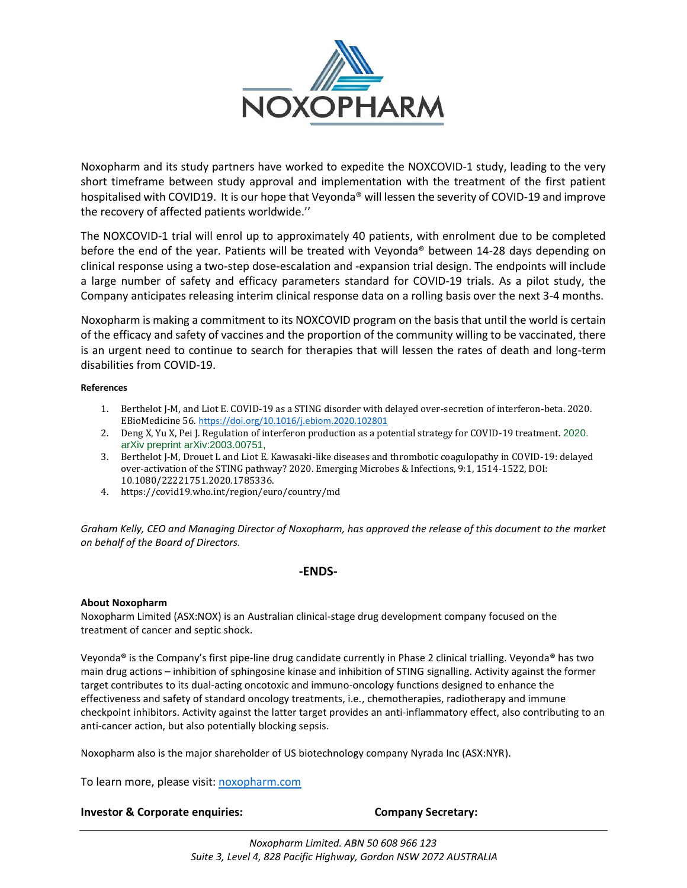

Noxopharm and its study partners have worked to expedite the NOXCOVID-1 study, leading to the very short timeframe between study approval and implementation with the treatment of the first patient hospitalised with COVID19. It is our hope that Veyonda® will lessen the severity of COVID-19 and improve the recovery of affected patients worldwide.''

The NOXCOVID-1 trial will enrol up to approximately 40 patients, with enrolment due to be completed before the end of the year. Patients will be treated with Veyonda<sup>®</sup> between 14-28 days depending on clinical response using a two-step dose-escalation and -expansion trial design. The endpoints will include a large number of safety and efficacy parameters standard for COVID-19 trials. As a pilot study, the Company anticipates releasing interim clinical response data on a rolling basis over the next 3-4 months.

Noxopharm is making a commitment to its NOXCOVID program on the basis that until the world is certain of the efficacy and safety of vaccines and the proportion of the community willing to be vaccinated, there is an urgent need to continue to search for therapies that will lessen the rates of death and long-term disabilities from COVID-19.

#### **References**

- 1. Berthelot J-M, and Liot E. COVID-19 as a STING disorder with delayed over-secretion of interferon-beta. 2020. EBioMedicine 56. <https://doi.org/10.1016/j.ebiom.2020.102801>
- 2. [Deng X,](https://ui.adsabs.harvard.edu/#search/q=author:%22Deng%2C+Xiaobing%22&sort=date%20desc,%20bibcode%20desc) [Yu X,](https://ui.adsabs.harvard.edu/#search/q=author:%22Yu%2C+Xiaoyu%22&sort=date%20desc,%20bibcode%20desc) [Pei](https://ui.adsabs.harvard.edu/#search/q=author:%22Pei%2C+Jianfeng%22&sort=date%20desc,%20bibcode%20desc) J. Regulation of interferon production as a potential strategy for COVID-19 treatment. 2020. arXiv preprint arXiv:2003.00751,
- 3. Berthelot J-M, Drouet L and Liot E. Kawasaki-like diseases and thrombotic coagulopathy in COVID-19: delayed over-activation of the STING pathway? 2020. Emerging Microbes & Infections, 9:1, 1514-1522, DOI: 10.1080/22221751.2020.1785336.
- 4. https://covid19.who.int/region/euro/country/md

*Graham Kelly, CEO and Managing Director of Noxopharm, has approved the release of this document to the market on behalf of the Board of Directors.*

### **-ENDS-**

#### **About Noxopharm**

Noxopharm Limited (ASX:NOX) is an Australian clinical-stage drug development company focused on the treatment of cancer and septic shock.

Veyonda**®** is the Company's first pipe-line drug candidate currently in Phase 2 clinical trialling. Veyonda**®** has two main drug actions – inhibition of sphingosine kinase and inhibition of STING signalling. Activity against the former target contributes to its dual-acting oncotoxic and immuno-oncology functions designed to enhance the effectiveness and safety of standard oncology treatments, i.e., chemotherapies, radiotherapy and immune checkpoint inhibitors. Activity against the latter target provides an anti-inflammatory effect, also contributing to an anti-cancer action, but also potentially blocking sepsis.

Noxopharm also is the major shareholder of US biotechnology company Nyrada Inc (ASX:NYR).

To learn more, please visit: [noxopharm.com](https://www.noxopharm.com/site/content/)

### **Investor & Corporate enquiries:** Company Secretary: